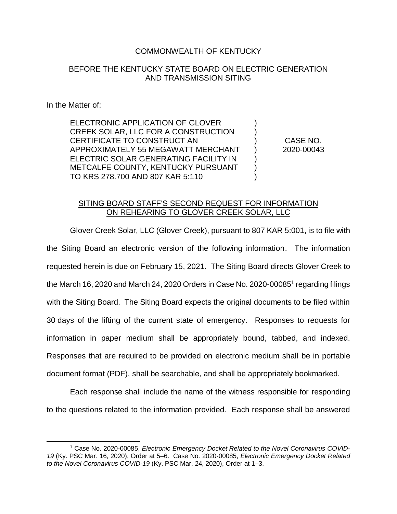## COMMONWEALTH OF KENTUCKY

## BEFORE THE KENTUCKY STATE BOARD ON ELECTRIC GENERATION AND TRANSMISSION SITING

## In the Matter of:

ELECTRONIC APPLICATION OF GLOVER CREEK SOLAR, LLC FOR A CONSTRUCTION CERTIFICATE TO CONSTRUCT AN APPROXIMATELY 55 MEGAWATT MERCHANT ELECTRIC SOLAR GENERATING FACILITY IN METCALFE COUNTY, KENTUCKY PURSUANT TO KRS 278.700 AND 807 KAR 5:110

CASE NO. 2020-00043

) ) ) ) ) ) )

## SITING BOARD STAFF'S SECOND REQUEST FOR INFORMATION ON REHEARING TO GLOVER CREEK SOLAR, LLC

Glover Creek Solar, LLC (Glover Creek), pursuant to 807 KAR 5:001, is to file with the Siting Board an electronic version of the following information. The information requested herein is due on February 15, 2021. The Siting Board directs Glover Creek to the March 16, 2020 and March 24, 2020 Orders in Case No. 2020-00085<sup>1</sup> regarding filings with the Siting Board. The Siting Board expects the original documents to be filed within 30 days of the lifting of the current state of emergency. Responses to requests for information in paper medium shall be appropriately bound, tabbed, and indexed. Responses that are required to be provided on electronic medium shall be in portable document format (PDF), shall be searchable, and shall be appropriately bookmarked.

Each response shall include the name of the witness responsible for responding to the questions related to the information provided. Each response shall be answered

 $\overline{a}$ <sup>1</sup> Case No. 2020-00085, *Electronic Emergency Docket Related to the Novel Coronavirus COVID-19* (Ky. PSC Mar. 16, 2020), Order at 5–6. Case No. 2020-00085, *Electronic Emergency Docket Related to the Novel Coronavirus COVID-19* (Ky. PSC Mar. 24, 2020), Order at 1–3.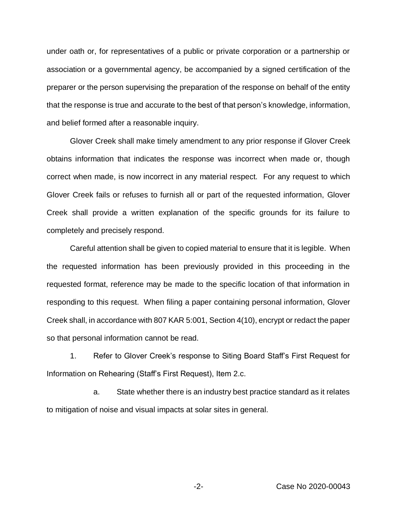under oath or, for representatives of a public or private corporation or a partnership or association or a governmental agency, be accompanied by a signed certification of the preparer or the person supervising the preparation of the response on behalf of the entity that the response is true and accurate to the best of that person's knowledge, information, and belief formed after a reasonable inquiry.

Glover Creek shall make timely amendment to any prior response if Glover Creek obtains information that indicates the response was incorrect when made or, though correct when made, is now incorrect in any material respect. For any request to which Glover Creek fails or refuses to furnish all or part of the requested information, Glover Creek shall provide a written explanation of the specific grounds for its failure to completely and precisely respond.

Careful attention shall be given to copied material to ensure that it is legible. When the requested information has been previously provided in this proceeding in the requested format, reference may be made to the specific location of that information in responding to this request. When filing a paper containing personal information, Glover Creek shall, in accordance with 807 KAR 5:001, Section 4(10), encrypt or redact the paper so that personal information cannot be read.

1. Refer to Glover Creek's response to Siting Board Staff's First Request for Information on Rehearing (Staff's First Request), Item 2.c.

a. State whether there is an industry best practice standard as it relates to mitigation of noise and visual impacts at solar sites in general.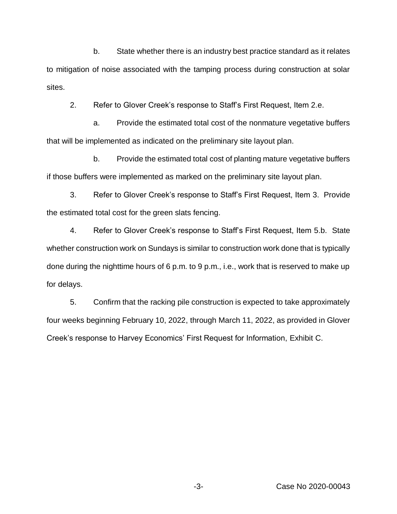b. State whether there is an industry best practice standard as it relates to mitigation of noise associated with the tamping process during construction at solar sites.

2. Refer to Glover Creek's response to Staff's First Request, Item 2.e.

a. Provide the estimated total cost of the nonmature vegetative buffers that will be implemented as indicated on the preliminary site layout plan.

b. Provide the estimated total cost of planting mature vegetative buffers if those buffers were implemented as marked on the preliminary site layout plan.

3. Refer to Glover Creek's response to Staff's First Request, Item 3. Provide the estimated total cost for the green slats fencing.

4. Refer to Glover Creek's response to Staff's First Request, Item 5.b. State whether construction work on Sundays is similar to construction work done that is typically done during the nighttime hours of 6 p.m. to 9 p.m., i.e., work that is reserved to make up for delays.

5. Confirm that the racking pile construction is expected to take approximately four weeks beginning February 10, 2022, through March 11, 2022, as provided in Glover Creek's response to Harvey Economics' First Request for Information, Exhibit C.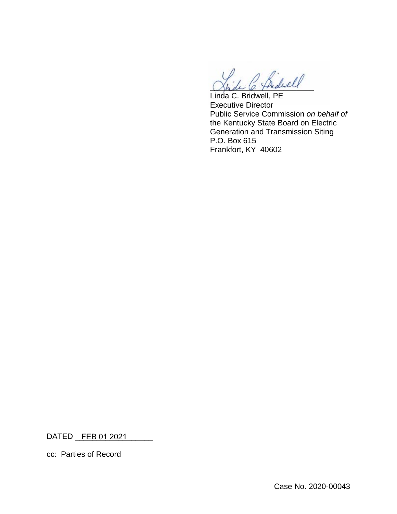midwell

Linda C. Bridwell, PE Executive Director Public Service Commission *on behalf of*  the Kentucky State Board on Electric Generation and Transmission Siting P.O. Box 615 Frankfort, KY 40602

DATED \_\_\_\_\_\_\_\_\_\_\_\_\_\_\_\_\_\_ FEB 01 2021

cc: Parties of Record